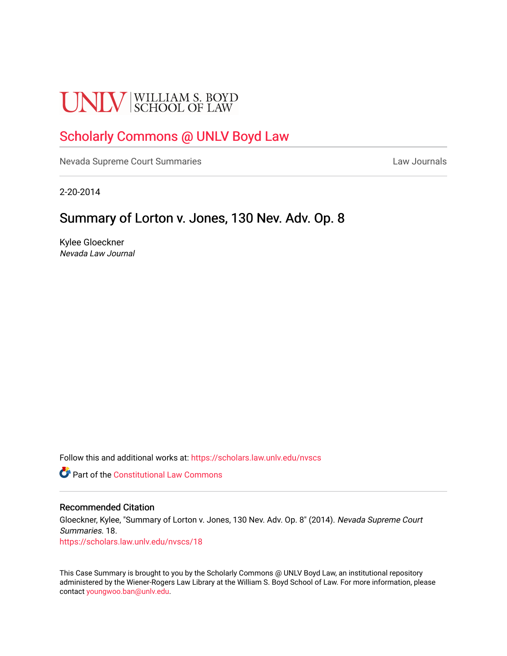# **UNLV** SCHOOL OF LAW

## [Scholarly Commons @ UNLV Boyd Law](https://scholars.law.unlv.edu/)

[Nevada Supreme Court Summaries](https://scholars.law.unlv.edu/nvscs) **Law Journals** Law Journals

2-20-2014

### Summary of Lorton v. Jones, 130 Nev. Adv. Op. 8

Kylee Gloeckner Nevada Law Journal

Follow this and additional works at: [https://scholars.law.unlv.edu/nvscs](https://scholars.law.unlv.edu/nvscs?utm_source=scholars.law.unlv.edu%2Fnvscs%2F18&utm_medium=PDF&utm_campaign=PDFCoverPages)

**Part of the Constitutional Law Commons** 

#### Recommended Citation

Gloeckner, Kylee, "Summary of Lorton v. Jones, 130 Nev. Adv. Op. 8" (2014). Nevada Supreme Court Summaries. 18. [https://scholars.law.unlv.edu/nvscs/18](https://scholars.law.unlv.edu/nvscs/18?utm_source=scholars.law.unlv.edu%2Fnvscs%2F18&utm_medium=PDF&utm_campaign=PDFCoverPages) 

This Case Summary is brought to you by the Scholarly Commons @ UNLV Boyd Law, an institutional repository administered by the Wiener-Rogers Law Library at the William S. Boyd School of Law. For more information, please contact [youngwoo.ban@unlv.edu](mailto:youngwoo.ban@unlv.edu).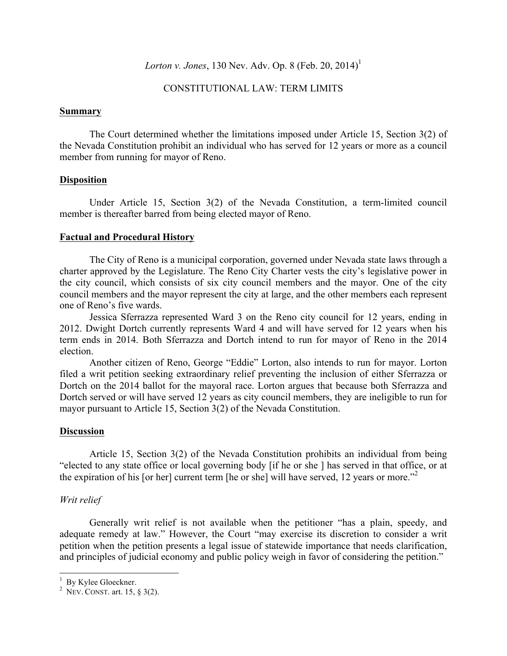#### *Lorton v. Jones*, 130 Nev. Adv. Op. 8 (Feb. 20, 2014)<sup>1</sup>

#### CONSTITUTIONAL LAW: TERM LIMITS

#### **Summary**

The Court determined whether the limitations imposed under Article 15, Section 3(2) of the Nevada Constitution prohibit an individual who has served for 12 years or more as a council member from running for mayor of Reno.

#### **Disposition**

Under Article 15, Section 3(2) of the Nevada Constitution, a term-limited council member is thereafter barred from being elected mayor of Reno.

#### **Factual and Procedural History**

The City of Reno is a municipal corporation, governed under Nevada state laws through a charter approved by the Legislature. The Reno City Charter vests the city's legislative power in the city council, which consists of six city council members and the mayor. One of the city council members and the mayor represent the city at large, and the other members each represent one of Reno's five wards.

Jessica Sferrazza represented Ward 3 on the Reno city council for 12 years, ending in 2012. Dwight Dortch currently represents Ward 4 and will have served for 12 years when his term ends in 2014. Both Sferrazza and Dortch intend to run for mayor of Reno in the 2014 election.

Another citizen of Reno, George "Eddie" Lorton, also intends to run for mayor. Lorton filed a writ petition seeking extraordinary relief preventing the inclusion of either Sferrazza or Dortch on the 2014 ballot for the mayoral race. Lorton argues that because both Sferrazza and Dortch served or will have served 12 years as city council members, they are ineligible to run for mayor pursuant to Article 15, Section 3(2) of the Nevada Constitution.

#### **Discussion**

Article 15, Section 3(2) of the Nevada Constitution prohibits an individual from being "elected to any state office or local governing body [if he or she ] has served in that office, or at the expiration of his [or her] current term [he or she] will have served, 12 years or more."<sup>2</sup>

#### *Writ relief*

Generally writ relief is not available when the petitioner "has a plain, speedy, and adequate remedy at law." However, the Court "may exercise its discretion to consider a writ petition when the petition presents a legal issue of statewide importance that needs clarification, and principles of judicial economy and public policy weigh in favor of considering the petition."

 $\frac{1}{\text{p}_1}$   $V_1$ lee Gleeckper  $\frac{1}{2}$  By Kylee Gloeckner.

<sup>&</sup>lt;sup>2</sup> Nev. CONST. art. 15,  $\S$  3(2).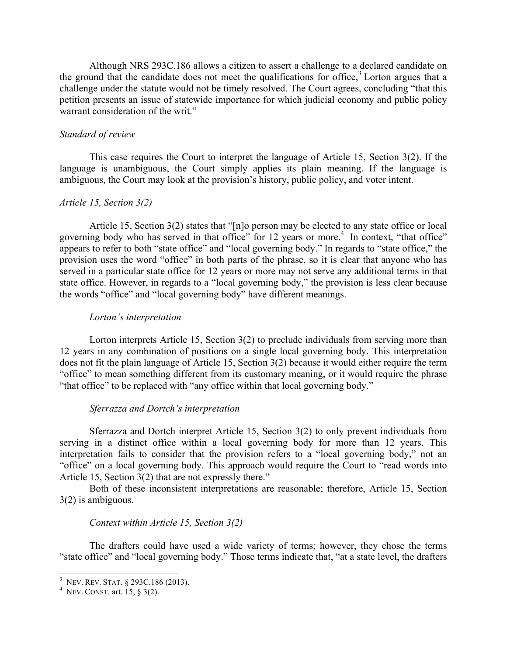Although NRS 293C.186 allows a citizen to assert a challenge to a declared candidate on the ground that the candidate does not meet the qualifications for office, $3$  Lorton argues that a challenge under the statute would not be timely resolved. The Court agrees, concluding "that this petition presents an issue of statewide importance for which judicial economy and public policy warrant consideration of the writ."

#### *Standard of review*

This case requires the Court to interpret the language of Article 15, Section 3(2). If the language is unambiguous, the Court simply applies its plain meaning. If the language is ambiguous, the Court may look at the provision's history, public policy, and voter intent.

#### *Article 15, Section 3(2)*

Article 15, Section 3(2) states that "[n]o person may be elected to any state office or local governing body who has served in that office" for 12 years or more.<sup>4</sup> In context, "that office" appears to refer to both "state office" and "local governing body." In regards to "state office," the provision uses the word "office" in both parts of the phrase, so it is clear that anyone who has served in a particular state office for 12 years or more may not serve any additional terms in that state office. However, in regards to a "local governing body," the provision is less clear because the words "office" and "local governing body" have different meanings.

#### *Lorton's interpretation*

Lorton interprets Article 15, Section 3(2) to preclude individuals from serving more than 12 years in any combination of positions on a single local governing body. This interpretation does not fit the plain language of Article 15, Section 3(2) because it would either require the term "office" to mean something different from its customary meaning, or it would require the phrase "that office" to be replaced with "any office within that local governing body."

#### *Sferrazza and Dortch's interpretation*

Sferrazza and Dortch interpret Article 15, Section 3(2) to only prevent individuals from serving in a distinct office within a local governing body for more than 12 years. This interpretation fails to consider that the provision refers to a "local governing body," not an "office" on a local governing body. This approach would require the Court to "read words into Article 15, Section 3(2) that are not expressly there."

Both of these inconsistent interpretations are reasonable; therefore, Article 15, Section 3(2) is ambiguous.

#### *Context within Article 15, Section 3(2)*

The drafters could have used a wide variety of terms; however, they chose the terms "state office" and "local governing body." Those terms indicate that, "at a state level, the drafters

 $\frac{3 \text{ N}_{\text{EVI}} \text{D}_{\text{EVI}} \text{S}_{\text{TAT}} \text{8} 202 \text{C} 196}$  (201 <sup>3</sup> NEV. REV. STAT. § 293C.186 (2013).

<sup>&</sup>lt;sup>4</sup> NEV. CONST. art. 15, § 3(2).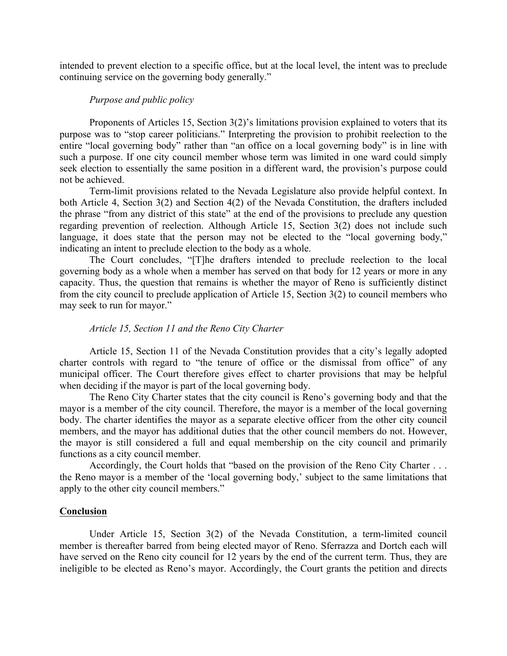intended to prevent election to a specific office, but at the local level, the intent was to preclude continuing service on the governing body generally."

#### *Purpose and public policy*

Proponents of Articles 15, Section 3(2)'s limitations provision explained to voters that its purpose was to "stop career politicians." Interpreting the provision to prohibit reelection to the entire "local governing body" rather than "an office on a local governing body" is in line with such a purpose. If one city council member whose term was limited in one ward could simply seek election to essentially the same position in a different ward, the provision's purpose could not be achieved.

Term-limit provisions related to the Nevada Legislature also provide helpful context. In both Article 4, Section 3(2) and Section 4(2) of the Nevada Constitution, the drafters included the phrase "from any district of this state" at the end of the provisions to preclude any question regarding prevention of reelection. Although Article 15, Section 3(2) does not include such language, it does state that the person may not be elected to the "local governing body," indicating an intent to preclude election to the body as a whole.

The Court concludes, "[T]he drafters intended to preclude reelection to the local governing body as a whole when a member has served on that body for 12 years or more in any capacity. Thus, the question that remains is whether the mayor of Reno is sufficiently distinct from the city council to preclude application of Article 15, Section 3(2) to council members who may seek to run for mayor."

#### *Article 15, Section 11 and the Reno City Charter*

Article 15, Section 11 of the Nevada Constitution provides that a city's legally adopted charter controls with regard to "the tenure of office or the dismissal from office" of any municipal officer. The Court therefore gives effect to charter provisions that may be helpful when deciding if the mayor is part of the local governing body.

The Reno City Charter states that the city council is Reno's governing body and that the mayor is a member of the city council. Therefore, the mayor is a member of the local governing body. The charter identifies the mayor as a separate elective officer from the other city council members, and the mayor has additional duties that the other council members do not. However, the mayor is still considered a full and equal membership on the city council and primarily functions as a city council member.

Accordingly, the Court holds that "based on the provision of the Reno City Charter . . . the Reno mayor is a member of the 'local governing body,' subject to the same limitations that apply to the other city council members."

#### **Conclusion**

Under Article 15, Section 3(2) of the Nevada Constitution, a term-limited council member is thereafter barred from being elected mayor of Reno. Sferrazza and Dortch each will have served on the Reno city council for 12 years by the end of the current term. Thus, they are ineligible to be elected as Reno's mayor. Accordingly, the Court grants the petition and directs